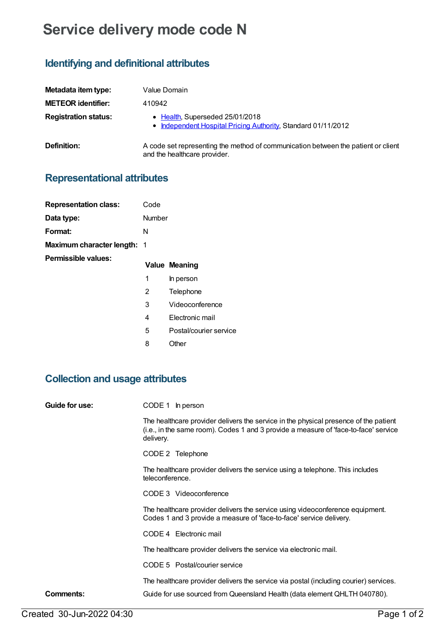## **Service delivery mode code N**

#### **Identifying and definitional attributes**

| Metadata item type:         | Value Domain                                                                                                      |
|-----------------------------|-------------------------------------------------------------------------------------------------------------------|
| <b>METEOR identifier:</b>   | 410942                                                                                                            |
| <b>Registration status:</b> | • Health, Superseded 25/01/2018<br>• Independent Hospital Pricing Authority, Standard 01/11/2012                  |
| <b>Definition:</b>          | A code set representing the method of communication between the patient or client<br>and the healthcare provider. |

### **Representational attributes**

| <b>Representation class:</b>       | Code   |                        |
|------------------------------------|--------|------------------------|
| Data type:                         | Number |                        |
| Format:                            | N      |                        |
| <b>Maximum character length: 1</b> |        |                        |
| Permissible values:                |        | <b>Value Meaning</b>   |
|                                    |        |                        |
|                                    | 1      | In person              |
|                                    | 2      | Telephone              |
|                                    | 3      | Videoconference        |
|                                    | 4      | Electronic mail        |
|                                    | 5      | Postal/courier service |
|                                    | 8      | Other                  |

# **Collection and usage attributes**

| Guide for use: | CODE 1<br>In person                                                                                                                                                                      |
|----------------|------------------------------------------------------------------------------------------------------------------------------------------------------------------------------------------|
|                | The healthcare provider delivers the service in the physical presence of the patient<br>(i.e., in the same room). Codes 1 and 3 provide a measure of 'face-to-face' service<br>delivery. |
|                | CODE 2 Telephone                                                                                                                                                                         |
|                | The healthcare provider delivers the service using a telephone. This includes<br>teleconference.                                                                                         |
|                | CODE 3 Videoconference                                                                                                                                                                   |
|                | The healthcare provider delivers the service using videoconference equipment.<br>Codes 1 and 3 provide a measure of 'face-to-face' service delivery.                                     |
|                | CODE 4 Electronic mail                                                                                                                                                                   |
|                | The healthcare provider delivers the service via electronic mail.                                                                                                                        |
|                | CODE 5 Postal/courier service                                                                                                                                                            |
|                | The healthcare provider delivers the service via postal (including courier) services.                                                                                                    |
| Comments:      | Guide for use sourced from Queensland Health (data element QHLTH 040780).                                                                                                                |